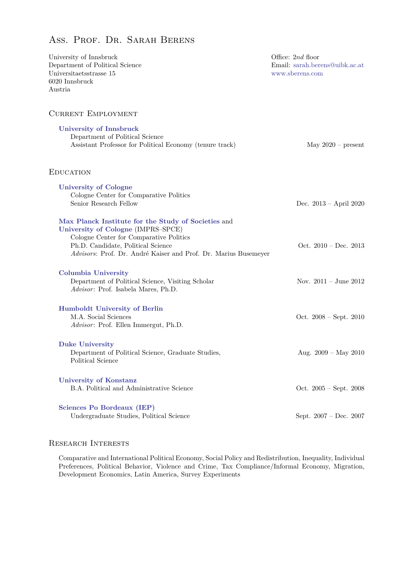# Ass. Prof. Dr. Sarah Berens

| University of Innsbruck                                         | Office: 2nd floor              |
|-----------------------------------------------------------------|--------------------------------|
| Department of Political Science                                 | Email: sarah.berens@uibk.ac.at |
| Universitaetsstrasse 15                                         | www.sberens.com                |
| 6020 Innsbruck                                                  |                                |
| Austria                                                         |                                |
| <b>CURRENT EMPLOYMENT</b>                                       |                                |
| <b>University of Innsbruck</b>                                  |                                |
| Department of Political Science                                 |                                |
| Assistant Professor for Political Economy (tenure track)        | May $2020$ – present           |
|                                                                 |                                |
| <b>EDUCATION</b>                                                |                                |
| <b>University of Cologne</b>                                    |                                |
| Cologne Center for Comparative Politics                         |                                |
| Senior Research Fellow                                          | Dec. $2013 - April 2020$       |
|                                                                 |                                |
| Max Planck Institute for the Study of Societies and             |                                |
| University of Cologne (IMPRS-SPCE)                              |                                |
| Cologne Center for Comparative Politics                         |                                |
| Ph.D. Candidate, Political Science                              | Oct. $2010 - Dec. 2013$        |
| Advisors: Prof. Dr. André Kaiser and Prof. Dr. Marius Busemeyer |                                |
| <b>Columbia University</b>                                      |                                |
| Department of Political Science, Visiting Scholar               | Nov. $2011 -$ June $2012$      |
| Advisor: Prof. Isabela Mares, Ph.D.                             |                                |
|                                                                 |                                |
| <b>Humboldt University of Berlin</b>                            |                                |
| M.A. Social Sciences                                            | Oct. $2008 - Sept. 2010$       |
| Advisor: Prof. Ellen Immergut, Ph.D.                            |                                |
| <b>Duke University</b>                                          |                                |
| Department of Political Science, Graduate Studies,              | Aug. $2009 - May 2010$         |
| Political Science                                               |                                |
| <b>University of Konstanz</b>                                   |                                |
| B.A. Political and Administrative Science                       | Oct. $2005 - Sept. 2008$       |
|                                                                 |                                |
| <b>Sciences Po Bordeaux (IEP)</b>                               |                                |
| Undergraduate Studies, Political Science                        | Sept. 2007 - Dec. 2007         |

## RESEARCH INTERESTS

Comparative and International Political Economy, Social Policy and Redistribution, Inequality, Individual Preferences, Political Behavior, Violence and Crime, Tax Compliance/Informal Economy, Migration, Development Economics, Latin America, Survey Experiments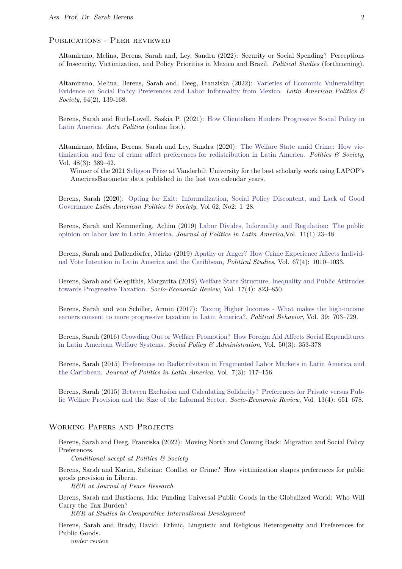## Publications - Peer reviewed

Altamirano, Melina, Berens, Sarah and, Ley, Sandra (2022): Security or Social Spending? Perceptions of Insecurity, Victimization, and Policy Priorities in Mexico and Brazil. *Political Studies* (forthcoming).

Altamirano, Melina, Berens, Sarah and, Deeg, Franziska (2022): [Varieties of Economic Vulnerability:](https://www.cambridge.org/core/journals/latin-american-politics-and-society/article/varieties-of-economic-vulnerability-evidence-on-social-policy-preferences-and-labor-informality-from-mexico/655732446A6152166534145930CA1EC4) [Evidence on Social Policy Preferences and Labor Informality from Mexico.](https://www.cambridge.org/core/journals/latin-american-politics-and-society/article/varieties-of-economic-vulnerability-evidence-on-social-policy-preferences-and-labor-informality-from-mexico/655732446A6152166534145930CA1EC4) *Latin American Politics & Society*, 64(2), 139-168.

Berens, Sarah and Ruth-Lovell, Saskia P. (2021): [How Clientelism Hinders Progressive Social Policy in](https://link.springer.com/article/10.1057/s41269-020-00189-x) [Latin America.](https://link.springer.com/article/10.1057/s41269-020-00189-x) *Acta Politica* (online first).

Altamirano, Melina, Berens, Sarah and Ley, Sandra (2020): [The Welfare State amid Crime: How vic](https://journals.sagepub.com/doi/10.1177/0032329220940850)[timization and fear of crime affect preferences for redistribution in Latin America.](https://journals.sagepub.com/doi/10.1177/0032329220940850) *Politics & Society*, Vol. 48(3): 389–42.

Winner of the 2021 [Seligson Prize](https://www.vanderbilt.edu/lapop/seligson-prize.php) at Vanderbilt University for the best scholarly work using LAPOP's AmericasBarometer data published in the last two calendar years.

Berens, Sarah (2020): [Opting for Exit: Informalization, Social Policy Discontent, and Lack of Good](https://www.cambridge.org/core/journals/latin-american-politics-and-society/article/opting-for-exit-informalization-social-policy-discontent-and-lack-of-good-governance/100327688AA65350454FAC792C766ACC) [Governance](https://www.cambridge.org/core/journals/latin-american-politics-and-society/article/opting-for-exit-informalization-social-policy-discontent-and-lack-of-good-governance/100327688AA65350454FAC792C766ACC) *Latin American Politics & Society*, Vol 62, No2: 1–28.

Berens, Sarah and Kemmerling, Achim (2019) [Labor Divides, Informality and Regulation: The public](https://journals.sagepub.com/doi/full/10.1177/1866802X19843362) [opinion on labor law in Latin America,](https://journals.sagepub.com/doi/full/10.1177/1866802X19843362) *Journal of Politics in Latin America*,Vol. 11(1) 23–48.

Berens, Sarah and Dallendörfer, Mirko (2019) [Apathy or Anger? How Crime Experience Affects Individ](https://journals.sagepub.com/doi/full/10.1177/0032321718819106)[ual Vote Intention in Latin America and the Caribbean,](https://journals.sagepub.com/doi/full/10.1177/0032321718819106) *Political Studies*, Vol. 67(4): 1010–1033.

Berens, Sarah and Gelepithis, Margarita (2019) [Welfare State Structure, Inequality and Public Attitudes](https://academic.oup.com/ser/advance-article-abstract/doi/10.1093/ser/mwx063/4816161?redirectedFrom=fulltext) [towards Progressive Taxation.](https://academic.oup.com/ser/advance-article-abstract/doi/10.1093/ser/mwx063/4816161?redirectedFrom=fulltext) *Socio-Economic Review*, Vol. 17(4): 823–850.

Berens, Sarah and von Schiller, Armin (2017): [Taxing Higher Incomes - What makes the high-income](http://link.springer.com/article/10.1007%2Fs11109-016-9376-2) [earners consent to more progressive taxation in Latin America?,](http://link.springer.com/article/10.1007%2Fs11109-016-9376-2) *Political Behavior*, Vol. 39: 703–729.

Berens, Sarah (2016) [Crowding Out or Welfare Promotion? How Foreign Aid Affects Social Expenditures](http://onlinelibrary.wiley.com/doi/10.1111/spol.12109/abstract) [in Latin American Welfare Systems.](http://onlinelibrary.wiley.com/doi/10.1111/spol.12109/abstract) *Social Policy & Administration*, Vol. 50(3): 353-378

Berens, Sarah (2015) [Preferences on Redistribution in Fragmented Labor Markets in Latin America and](http://journals.sub.uni-hamburg.de/giga/jpla/article/view/902/909) [the Caribbean.](http://journals.sub.uni-hamburg.de/giga/jpla/article/view/902/909) *Journal of Politics in Latin America*, Vol. 7(3): 117–156.

Berens, Sarah (2015) [Between Exclusion and Calculating Solidarity? Preferences for Private versus Pub](http://ser.oxfordjournals.org/content/13/4/651)[lic Welfare Provision and the Size of the Informal Sector.](http://ser.oxfordjournals.org/content/13/4/651) *Socio-Economic Review*, Vol. 13(4): 651–678.

## WORKING PAPERS AND PROJECTS

Berens, Sarah and Deeg, Franziska (2022): Moving North and Coming Back: Migration and Social Policy Preferences.

*Conditional accept at Politics & Society*

Berens, Sarah and Karim, Sabrina: Conflict or Crime? How victimization shapes preferences for public goods provision in Liberia.

*R&R at Journal of Peace Research*

Berens, Sarah and Bastiaens, Ida: Funding Universal Public Goods in the Globalized World: Who Will Carry the Tax Burden?

*R&R at Studies in Comparative International Development*

Berens, Sarah and Brady, David: Ethnic, Linguistic and Religious Heterogeneity and Preferences for Public Goods.

*under review*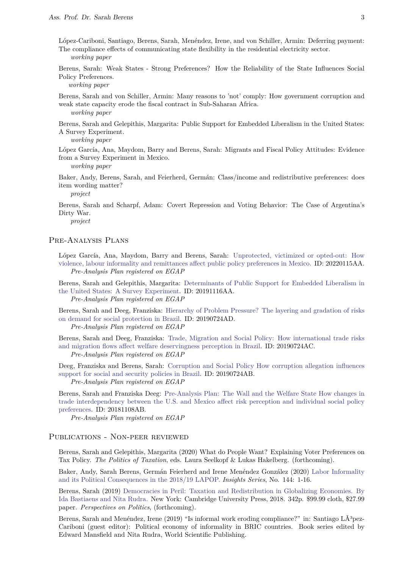López-Cariboni, Santiago, Berens, Sarah, Menéndez, Irene, and von Schiller, Armin: Deferring payment: The compliance effects of communicating state flexibility in the residential electricity sector. *working paper*

Berens, Sarah: Weak States - Strong Preferences? How the Reliability of the State Influences Social Policy Preferences.

*working paper*

Berens, Sarah and von Schiller, Armin: Many reasons to 'not' comply: How government corruption and weak state capacity erode the fiscal contract in Sub-Saharan Africa. *working paper*

Berens, Sarah and Gelepithis, Margarita: Public Support for Embedded Liberalism in the United States: A Survey Experiment.

*working paper*

López García, Ana, Maydom, Barry and Berens, Sarah: Migrants and Fiscal Policy Attitudes: Evidence from a Survey Experiment in Mexico.

*working paper*

Baker, Andy, Berens, Sarah, and Feierherd, Germán: Class/income and redistributive preferences: does item wording matter?

*project*

Berens, Sarah and Scharpf, Adam: Covert Repression and Voting Behavior: The Case of Argentina's Dirty War.

*project*

## Pre-Analysis Plans

López García, Ana, Maydom, Barry and Berens, Sarah: [Unprotected, victimized or opted-out: How](https://osf.io/xus8y) [violence, labour informality and remittances affect public policy preferences in Mexico.](https://osf.io/xus8y) ID: 20220115AA. *Pre-Analysis Plan registered on EGAP*

Berens, Sarah and Gelepithis, Margarita: [Determinants of Public Support for Embedded Liberalism in](https://egap.org/registration/6271) [the United States: A Survey Experiment.](https://egap.org/registration/6271) ID: 20191116AA. *Pre-Analysis Plan registered on EGAP*

Berens, Sarah and Deeg, Franziska: [Hierarchy of Problem Pressure? The layering and gradation of risks](https://egap.org/content/hierarchy-problem-pressure-layering-and-gradation-risks-demand-social-protection-brazil) [on demand for social protection in Brazil.](https://egap.org/content/hierarchy-problem-pressure-layering-and-gradation-risks-demand-social-protection-brazil) ID: 20190724AD.

*Pre-Analysis Plan registered on EGAP*

Berens, Sarah and Deeg, Franziska: [Trade, Migration and Social Policy: How international trade risks](https://egap.org/content/trade-migration-and-social-policy-how-international-trade-risks-and-migration-fows-affect) [and migration flows affect welfare deservingness perception in Brazil.](https://egap.org/content/trade-migration-and-social-policy-how-international-trade-risks-and-migration-fows-affect) ID: 20190724AC. *Pre-Analysis Plan registered on EGAP*

Deeg, Franziska and Berens, Sarah: [Corruption and Social Policy How corruption allegation influences](https://egap.org/content/corruption-and-social-policy-how-corruption-allegation-infuences-support-social-and-security)

[support for social and security policies in Brazil.](https://egap.org/content/corruption-and-social-policy-how-corruption-allegation-infuences-support-social-and-security) ID: 20190724AB.

*Pre-Analysis Plan registered on EGAP*

Berens, Sarah and Franziska Deeg: [Pre-Analysis Plan: The Wall and the Welfare State How changes in](http://egap.org/registration/5290) [trade interdependency between the U.S. and Mexico affect risk perception and individual social policy](http://egap.org/registration/5290) [preferences.](http://egap.org/registration/5290) ID: 20181108AB.

*Pre-Analysis Plan registered on EGAP*

#### Publications - Non-peer reviewed

Berens, Sarah and Gelepithis, Margarita (2020) What do People Want? Explaining Voter Preferences on Tax Policy. *The Politics of Taxation*, eds. Laura Seelkopf & Lukas Hakelberg. (forthcoming).

Baker, Andy, Sarah Berens, Germán Feierherd and Irene Menéndez González (2020) [Labor Informality](https://www.vanderbilt.edu/lapop/insights/IO944en.pdf) [and its Political Consequences in the 2018/19 LAPOP.](https://www.vanderbilt.edu/lapop/insights/IO944en.pdf) *Insights Series*, No. 144: 1-16.

Berens, Sarah (2019) [Democracies in Peril: Taxation and Redistribution in Globalizing Economies. By](https://www.cambridge.org/core/journals/perspectives-on-politics/article/democracies-in-peril-taxation-and-redistribution-in-globalizing-economies-by-ida-bastiaens-and-nita-rudra-new-york-cambridge-university-press-2018-326p-9999-cloth-2799-paper/90A7D7A6DE7D3EB8CE493223947B2C28) [Ida Bastiaens and Nita Rudra.](https://www.cambridge.org/core/journals/perspectives-on-politics/article/democracies-in-peril-taxation-and-redistribution-in-globalizing-economies-by-ida-bastiaens-and-nita-rudra-new-york-cambridge-university-press-2018-326p-9999-cloth-2799-paper/90A7D7A6DE7D3EB8CE493223947B2C28) New York: Cambridge University Press, 2018. 342p. \$99.99 cloth, \$27.99 paper. *Perspectives on Politics*, (forthcoming).

Berens, Sarah and Menéndez, Irene (2019) "Is informal work eroding compliance?" in: Santiago LÃ3pez-Cariboni (guest editor): Political economy of informality in BRIC countries. Book series edited by Edward Mansfield and Nita Rudra, World Scientific Publishing.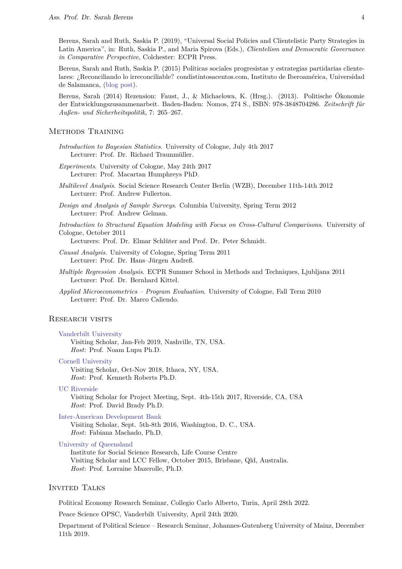Berens, Sarah and Ruth, Saskia P. (2019), "Universal Social Policies and Clientelistic Party Strategies in Latin America", in: Ruth, Saskia P., and Maria Spirova (Eds.), *Clientelism and Democratic Governance in Comparative Perspective*, Colchester: ECPR Press.

Berens, Sarah and Ruth, Saskia P. (2015) Políticas sociales progresistas y estrategias partidarias clientelares: ¿Reconciliando lo irreconciliable? condistintosacentos.com, Instituto de Iberoamérica, Universidad de Salamanca, [\(blog post\)](http://www.condistintosacentos.com/politicas-sociales-progresistas-y-estrategias-partidarias-clientelares-reconciliando-lo-irreconciliable/).

Berens, Sarah (2014) Rezension: Faust, J., & Michaelowa, K. (Hrsg.). (2013). Politische Ökonomie der Entwicklungszusammenarbeit. Baden-Baden: Nomos, 274 S., ISBN: 978-3848704286. *Zeitschrift für Außen- und Sicherheitspolitik*, 7: 265–267.

## Methods Training

- *Introduction to Bayesian Statistics*. University of Cologne, July 4th 2017 Lecturer: Prof. Dr. Richard Traunmüller.
- *Experiments*. University of Cologne, May 24th 2017 Lecturer: Prof. Macartan Humphreys PhD.
- *Multilevel Analysis*. Social Science Research Center Berlin (WZB), December 11th-14th 2012 Lecturer: Prof. Andrew Fullerton.
- *Design and Analysis of Sample Surveys*. Columbia University, Spring Term 2012 Lecturer: Prof. Andrew Gelman.

*Introduction to Structural Equation Modeling with Focus on Cross-Cultural Comparisons*. University of Cologne, October 2011

Lecturers: Prof. Dr. Elmar Schlüter and Prof. Dr. Peter Schmidt.

- *Causal Analysis*. University of Cologne, Spring Term 2011 Lecturer: Prof. Dr. Hans–Jürgen Andreß.
- *Multiple Regression Analysis*. ECPR Summer School in Methods and Techniques, Ljubljana 2011 Lecturer: Prof. Dr. Bernhard Kittel.
- *Applied Microeconometrics Program Evaluation*. University of Cologne, Fall Term 2010 Lecturer: Prof. Dr. Marco Caliendo.

#### Research visits

#### [Vanderbilt University](https://www.vanderbilt.edu)

Visiting Scholar, Jan-Feb 2019, Nashville, TN, USA. *Host*: Prof. Noam Lupu Ph.D.

#### [Cornell University](http://government.cornell.edu/faculty)

Visiting Scholar, Oct-Nov 2018, Ithaca, NY, USA. *Host*: Prof. Kenneth Roberts Ph.D.

#### [UC Riverside](http://facultyprofiles.ucr.edu/spp_dept/faculty/David_Brady/)

Visiting Scholar for Project Meeting, Sept. 4th-15th 2017, Riverside, CA, USA *Host*: Prof. David Brady Ph.D.

#### [Inter-American Development Bank](http://www.iadb.org/en/inter-american-development-bank,2837.html)

Visiting Scholar, Sept. 5th-8th 2016, Washington, D. C., USA. *Host*: Fabiana Machado, Ph.D.

#### [University of Queensland](https://www.issr.uq.edu.au/project-program/life-course-centre)

Institute for Social Science Research, Life Course Centre Visiting Scholar and LCC Fellow, October 2015, Brisbane, Qld, Australia. *Host*: Prof. Lorraine Mazerolle, Ph.D.

## INVITED TALKS

Political Economy Research Seminar, Collegio Carlo Alberto, Turin, April 28th 2022.

Peace Science OPSC, Vanderbilt University, April 24th 2020.

Department of Political Science – Research Seminar, Johannes-Gutenberg University of Mainz, December 11th 2019.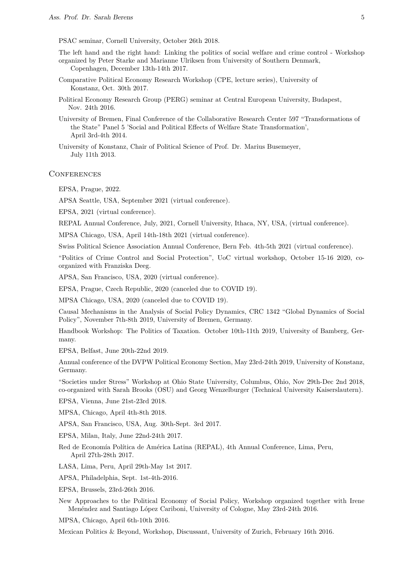PSAC seminar, Cornell University, October 26th 2018.

The left hand and the right hand: Linking the politics of social welfare and crime control - Workshop organized by Peter Starke and Marianne Ulriksen from University of Southern Denmark, Copenhagen, December 13th-14th 2017.

- Comparative Political Economy Research Workshop (CPE, lecture series), University of Konstanz, Oct. 30th 2017.
- Political Economy Research Group (PERG) seminar at Central European University, Budapest, Nov. 24th 2016.
- University of Bremen, Final Conference of the Collaborative Research Center 597 "Transformations of the State" Panel 5 'Social and Political Effects of Welfare State Transformation', April 3rd-4th 2014.
- University of Konstanz, Chair of Political Science of Prof. Dr. Marius Busemeyer, July 11th 2013.

#### **CONFERENCES**

EPSA, Prague, 2022.

APSA Seattle, USA, September 2021 (virtual conference).

EPSA, 2021 (virtual conference).

REPAL Annual Conference, July, 2021, Cornell University, Ithaca, NY, USA, (virtual conference).

MPSA Chicago, USA, April 14th-18th 2021 (virtual conference).

Swiss Political Science Association Annual Conference, Bern Feb. 4th-5th 2021 (virtual conference).

"Politics of Crime Control and Social Protection", UoC virtual workshop, October 15-16 2020, coorganized with Franziska Deeg.

APSA, San Francisco, USA, 2020 (virtual conference).

EPSA, Prague, Czech Republic, 2020 (canceled due to COVID 19).

MPSA Chicago, USA, 2020 (canceled due to COVID 19).

Causal Mechanisms in the Analysis of Social Policy Dynamics, CRC 1342 "Global Dynamics of Social Policy", November 7th-8th 2019, University of Bremen, Germany.

Handbook Workshop: The Politics of Taxation. October 10th-11th 2019, University of Bamberg, Germany.

EPSA, Belfast, June 20th-22nd 2019.

Annual conference of the DVPW Political Economy Section, May 23rd-24th 2019, University of Konstanz, Germany.

"Societies under Stress" Workshop at Ohio State University, Columbus, Ohio, Nov 29th-Dec 2nd 2018, co-organized with Sarah Brooks (OSU) and Georg Wenzelburger (Technical University Kaiserslautern).

EPSA, Vienna, June 21st-23rd 2018.

MPSA, Chicago, April 4th-8th 2018.

APSA, San Francisco, USA, Aug. 30th-Sept. 3rd 2017.

EPSA, Milan, Italy, June 22nd-24th 2017.

Red de Economía Política de América Latina (REPAL), 4th Annual Conference, Lima, Peru, April 27th-28th 2017.

LASA, Lima, Peru, April 29th-May 1st 2017.

APSA, Philadelphia, Sept. 1st-4th-2016.

EPSA, Brussels, 23rd-26th 2016.

New Approaches to the Political Economy of Social Policy, Workshop organized together with Irene Menéndez and Santiago López Cariboni, University of Cologne, May 23rd-24th 2016.

MPSA, Chicago, April 6th-10th 2016.

Mexican Politics & Beyond, Workshop, Discussant, University of Zurich, February 16th 2016.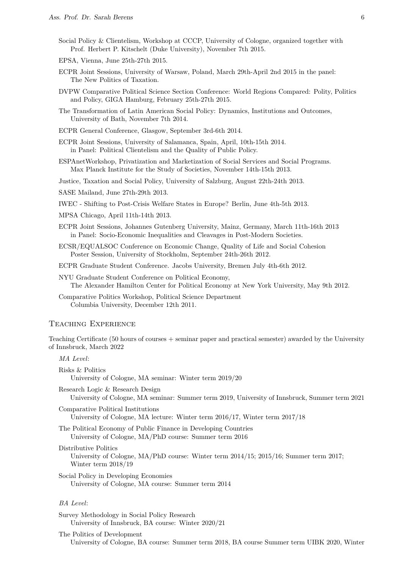- Social Policy & Clientelism, Workshop at CCCP, University of Cologne, organized together with Prof. Herbert P. Kitschelt (Duke University), November 7th 2015.
- EPSA, Vienna, June 25th-27th 2015.
- ECPR Joint Sessions, University of Warsaw, Poland, March 29th-April 2nd 2015 in the panel: The New Politics of Taxation.
- DVPW Comparative Political Science Section Conference: World Regions Compared: Polity, Politics and Policy, GIGA Hamburg, February 25th-27th 2015.
- The Transformation of Latin American Social Policy: Dynamics, Institutions and Outcomes, University of Bath, November 7th 2014.
- ECPR General Conference, Glasgow, September 3rd-6th 2014.
- ECPR Joint Sessions, University of Salamanca, Spain, April, 10th-15th 2014. in Panel: Political Clientelism and the Quality of Public Policy.
- ESPAnetWorkshop, Privatization and Marketization of Social Services and Social Programs. Max Planck Institute for the Study of Societies, November 14th-15th 2013.

Justice, Taxation and Social Policy, University of Salzburg, August 22th-24th 2013.

- SASE Mailand, June 27th-29th 2013.
- IWEC Shifting to Post-Crisis Welfare States in Europe? Berlin, June 4th-5th 2013.
- MPSA Chicago, April 11th-14th 2013.
- ECPR Joint Sessions, Johannes Gutenberg University, Mainz, Germany, March 11th-16th 2013 in Panel: Socio-Economic Inequalities and Cleavages in Post-Modern Societies.
- ECSR/EQUALSOC Conference on Economic Change, Quality of Life and Social Cohesion Poster Session, University of Stockholm, September 24th-26th 2012.
- ECPR Graduate Student Conference. Jacobs University, Bremen July 4th-6th 2012.
- NYU Graduate Student Conference on Political Economy, The Alexander Hamilton Center for Political Economy at New York University, May 9th 2012.
- Comparative Politics Workshop, Political Science Department Columbia University, December 12th 2011.

## Teaching Experience

Teaching Certificate (50 hours of courses + seminar paper and practical semester) awarded by the University of Innsbruck, March 2022

Risks & Politics University of Cologne, MA seminar: Winter term 2019/20

Research Logic & Research Design University of Cologne, MA seminar: Summer term 2019, University of Innsbruck, Summer term 2021

Comparative Political Institutions University of Cologne, MA lecture: Winter term 2016/17, Winter term 2017/18

The Political Economy of Public Finance in Developing Countries University of Cologne, MA/PhD course: Summer term 2016

Distributive Politics

University of Cologne, MA/PhD course: Winter term 2014/15; 2015/16; Summer term 2017; Winter term 2018/19

Social Policy in Developing Economies University of Cologne, MA course: Summer term 2014

## *BA Level*:

Survey Methodology in Social Policy Research University of Innsbruck, BA course: Winter 2020/21

The Politics of Development University of Cologne, BA course: Summer term 2018, BA course Summer term UIBK 2020, Winter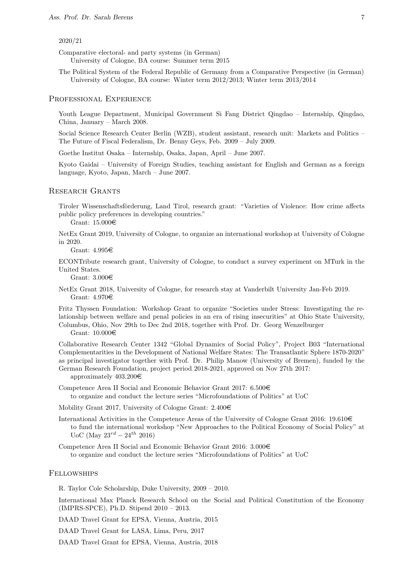#### 2020/21

Comparative electoral- and party systems (in German) University of Cologne, BA course: Summer term 2015

The Political System of the Federal Republic of Germany from a Comparative Perspective (in German) University of Cologne, BA course: Winter term 2012/2013; Winter term 2013/2014

#### Professional Experience

Youth League Department, Municipal Government Si Fang District Qingdao – Internship, Qingdao, China, January – March 2008.

Social Science Research Center Berlin (WZB), student assistant, research unit: Markets and Politics – The Future of Fiscal Federalism, Dr. Benny Geys, Feb. 2009 – July 2009.

Goethe Institut Osaka – Internship, Osaka, Japan, April – June 2007.

Kyoto Gaidai – University of Foreign Studies, teaching assistant for English and German as a foreign language, Kyoto, Japan, March – June 2007.

#### Research Grants

Tiroler Wissenschaftsförderung, Land Tirol, research grant: "Varieties of Violence: How crime affects public policy preferences in developing countries."

Grant: 15.000e

NetEx Grant 2019, University of Cologne, to organize an international workshop at University of Cologne in 2020.

Grant:  $4.995 \in$ 

ECONTribute research grant, University of Cologne, to conduct a survey experiment on MTurk in the United States.

Grant:  $3.000 \in$ 

NetEx Grant 2018, University of Cologne, for research stay at Vanderbilt University Jan-Feb 2019. Grant:  $4.970 \in$ 

Fritz Thyssen Foundation: Workshop Grant to organize "Societies under Stress: Investigating the relationship between welfare and penal policies in an era of rising insecurities" at Ohio State University, Columbus, Ohio, Nov 29th to Dec 2nd 2018, together with Prof. Dr. Georg Wenzelburger Grant: 10.000e

Collaborative Research Center 1342 "Global Dynamics of Social Policy", Project B03 "International Complementarities in the Development of National Welfare States: The Transatlantic Sphere 1870-2020" as principal investigator together with Prof. Dr. Philip Manow (University of Bremen), funded by the German Research Foundation, project period 2018-2021, approved on Nov 27th 2017:

approximately  $403.200 \in$ 

Competence Area II Social and Economic Behavior Grant 2017:  $6.500\text{€}$ to organize and conduct the lecture series "Microfoundations of Politics" at UoC

Mobility Grant 2017, University of Cologne Grant:  $2.400 \in$ 

International Activities in the Competence Areas of the University of Cologne Grant 2016: 19.610 $\in$ to fund the international workshop "New Approaches to the Political Economy of Social Policy" at UoC (May 23*rd* − 24*th* 2016)

Competence Area II Social and Economic Behavior Grant 2016:  $3.000\in$ to organize and conduct the lecture series "Microfoundations of Politics" at UoC

#### Fellowships

R. Taylor Cole Scholarship, Duke University, 2009 – 2010.

International Max Planck Research School on the Social and Political Constitution of the Economy (IMPRS-SPCE), Ph.D. Stipend 2010 – 2013.

DAAD Travel Grant for EPSA, Vienna, Austria, 2015

DAAD Travel Grant for LASA, Lima, Peru, 2017

DAAD Travel Grant for EPSA, Vienna, Austria, 2018